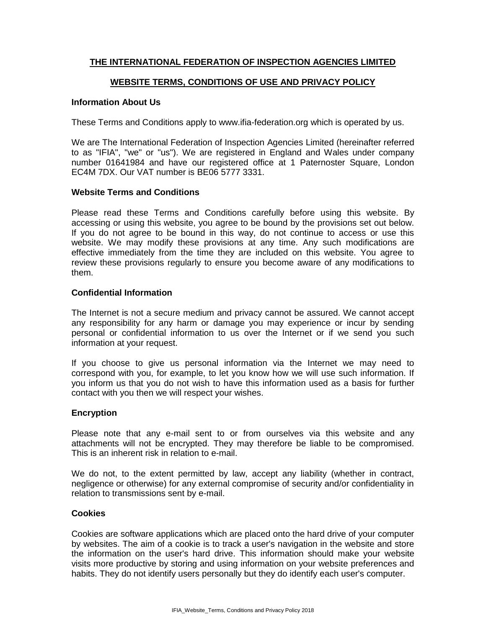# **THE INTERNATIONAL FEDERATION OF INSPECTION AGENCIES LIMITED**

## **WEBSITE TERMS, CONDITIONS OF USE AND PRIVACY POLICY**

### **Information About Us**

These Terms and Conditions apply to www.ifia-federation.org which is operated by us.

We are The International Federation of Inspection Agencies Limited (hereinafter referred to as "IFIA", "we" or "us"). We are registered in England and Wales under company number 01641984 and have our registered office at 1 Paternoster Square, London EC4M 7DX. Our VAT number is BE06 5777 3331.

### **Website Terms and Conditions**

Please read these Terms and Conditions carefully before using this website. By accessing or using this website, you agree to be bound by the provisions set out below. If you do not agree to be bound in this way, do not continue to access or use this website. We may modify these provisions at any time. Any such modifications are effective immediately from the time they are included on this website. You agree to review these provisions regularly to ensure you become aware of any modifications to them.

## **Confidential Information**

The Internet is not a secure medium and privacy cannot be assured. We cannot accept any responsibility for any harm or damage you may experience or incur by sending personal or confidential information to us over the Internet or if we send you such information at your request.

If you choose to give us personal information via the Internet we may need to correspond with you, for example, to let you know how we will use such information. If you inform us that you do not wish to have this information used as a basis for further contact with you then we will respect your wishes.

### **Encryption**

Please note that any e-mail sent to or from ourselves via this website and any attachments will not be encrypted. They may therefore be liable to be compromised. This is an inherent risk in relation to e-mail.

We do not, to the extent permitted by law, accept any liability (whether in contract, negligence or otherwise) for any external compromise of security and/or confidentiality in relation to transmissions sent by e-mail.

#### **Cookies**

Cookies are software applications which are placed onto the hard drive of your computer by websites. The aim of a cookie is to track a user's navigation in the website and store the information on the user's hard drive. This information should make your website visits more productive by storing and using information on your website preferences and habits. They do not identify users personally but they do identify each user's computer.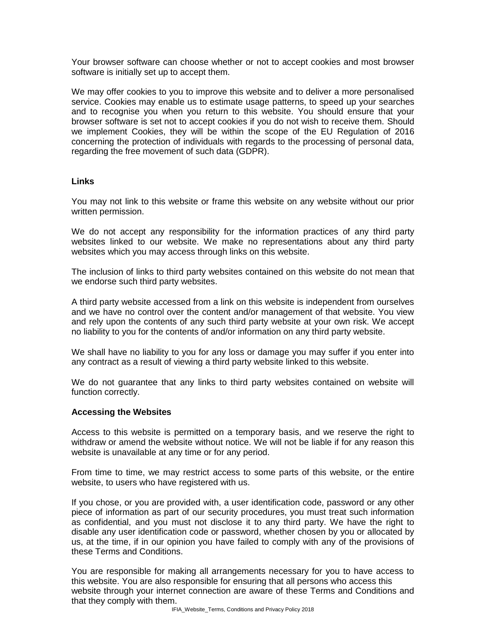Your browser software can choose whether or not to accept cookies and most browser software is initially set up to accept them.

We may offer cookies to you to improve this website and to deliver a more personalised service. Cookies may enable us to estimate usage patterns, to speed up your searches and to recognise you when you return to this website. You should ensure that your browser software is set not to accept cookies if you do not wish to receive them. Should we implement Cookies, they will be within the scope of the EU Regulation of 2016 concerning the protection of individuals with regards to the processing of personal data, regarding the free movement of such data (GDPR).

### **Links**

You may not link to this website or frame this website on any website without our prior written permission.

We do not accept any responsibility for the information practices of any third party websites linked to our website. We make no representations about any third party websites which you may access through links on this website.

The inclusion of links to third party websites contained on this website do not mean that we endorse such third party websites.

A third party website accessed from a link on this website is independent from ourselves and we have no control over the content and/or management of that website. You view and rely upon the contents of any such third party website at your own risk. We accept no liability to you for the contents of and/or information on any third party website.

We shall have no liability to you for any loss or damage you may suffer if you enter into any contract as a result of viewing a third party website linked to this website.

We do not guarantee that any links to third party websites contained on website will function correctly.

### **Accessing the Websites**

Access to this website is permitted on a temporary basis, and we reserve the right to withdraw or amend the website without notice. We will not be liable if for any reason this website is unavailable at any time or for any period.

From time to time, we may restrict access to some parts of this website, or the entire website, to users who have registered with us.

If you chose, or you are provided with, a user identification code, password or any other piece of information as part of our security procedures, you must treat such information as confidential, and you must not disclose it to any third party. We have the right to disable any user identification code or password, whether chosen by you or allocated by us, at the time, if in our opinion you have failed to comply with any of the provisions of these Terms and Conditions.

You are responsible for making all arrangements necessary for you to have access to this website. You are also responsible for ensuring that all persons who access this website through your internet connection are aware of these Terms and Conditions and that they comply with them.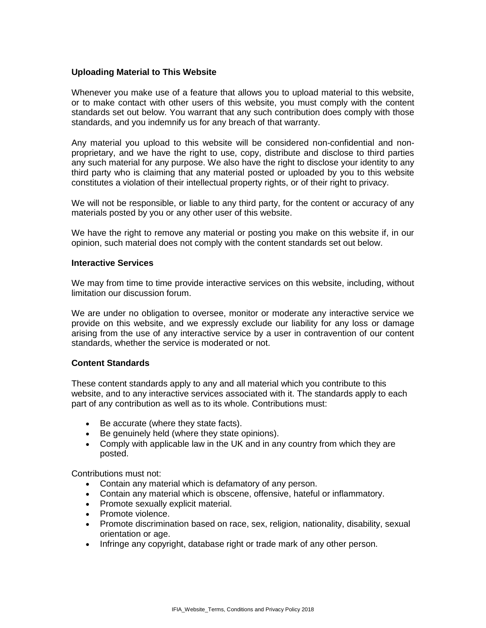## **Uploading Material to This Website**

Whenever you make use of a feature that allows you to upload material to this website, or to make contact with other users of this website, you must comply with the content standards set out below. You warrant that any such contribution does comply with those standards, and you indemnify us for any breach of that warranty.

Any material you upload to this website will be considered non-confidential and nonproprietary, and we have the right to use, copy, distribute and disclose to third parties any such material for any purpose. We also have the right to disclose your identity to any third party who is claiming that any material posted or uploaded by you to this website constitutes a violation of their intellectual property rights, or of their right to privacy.

We will not be responsible, or liable to any third party, for the content or accuracy of any materials posted by you or any other user of this website.

We have the right to remove any material or posting you make on this website if, in our opinion, such material does not comply with the content standards set out below.

### **Interactive Services**

We may from time to time provide interactive services on this website, including, without limitation our discussion forum.

We are under no obligation to oversee, monitor or moderate any interactive service we provide on this website, and we expressly exclude our liability for any loss or damage arising from the use of any interactive service by a user in contravention of our content standards, whether the service is moderated or not.

### **Content Standards**

These content standards apply to any and all material which you contribute to this website, and to any interactive services associated with it. The standards apply to each part of any contribution as well as to its whole. Contributions must:

- Be accurate (where they state facts).
- Be genuinely held (where they state opinions).
- Comply with applicable law in the UK and in any country from which they are posted.

Contributions must not:

- Contain any material which is defamatory of any person.
- Contain any material which is obscene, offensive, hateful or inflammatory.
- Promote sexually explicit material.
- Promote violence.
- Promote discrimination based on race, sex, religion, nationality, disability, sexual orientation or age.
- Infringe any copyright, database right or trade mark of any other person.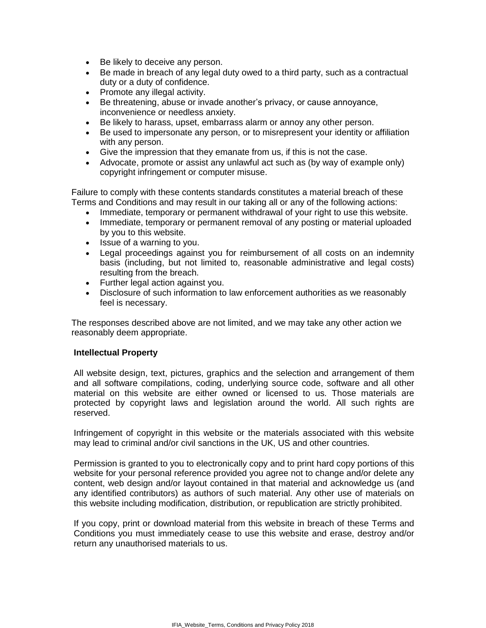- Be likely to deceive any person.
- Be made in breach of any legal duty owed to a third party, such as a contractual duty or a duty of confidence.
- Promote any illegal activity.
- Be threatening, abuse or invade another's privacy, or cause annoyance, inconvenience or needless anxiety.
- Be likely to harass, upset, embarrass alarm or annoy any other person.
- Be used to impersonate any person, or to misrepresent your identity or affiliation with any person.
- Give the impression that they emanate from us, if this is not the case.
- Advocate, promote or assist any unlawful act such as (by way of example only) copyright infringement or computer misuse.

Failure to comply with these contents standards constitutes a material breach of these Terms and Conditions and may result in our taking all or any of the following actions:

- Immediate, temporary or permanent withdrawal of your right to use this website.
- Immediate, temporary or permanent removal of any posting or material uploaded by you to this website.
- Issue of a warning to you.
- Legal proceedings against you for reimbursement of all costs on an indemnity basis (including, but not limited to, reasonable administrative and legal costs) resulting from the breach.
- Further legal action against you.
- Disclosure of such information to law enforcement authorities as we reasonably feel is necessary.

The responses described above are not limited, and we may take any other action we reasonably deem appropriate.

# **Intellectual Property**

All website design, text, pictures, graphics and the selection and arrangement of them and all software compilations, coding, underlying source code, software and all other material on this website are either owned or licensed to us. Those materials are protected by copyright laws and legislation around the world. All such rights are reserved.

Infringement of copyright in this website or the materials associated with this website may lead to criminal and/or civil sanctions in the UK, US and other countries.

Permission is granted to you to electronically copy and to print hard copy portions of this website for your personal reference provided you agree not to change and/or delete any content, web design and/or layout contained in that material and acknowledge us (and any identified contributors) as authors of such material. Any other use of materials on this website including modification, distribution, or republication are strictly prohibited.

If you copy, print or download material from this website in breach of these Terms and Conditions you must immediately cease to use this website and erase, destroy and/or return any unauthorised materials to us.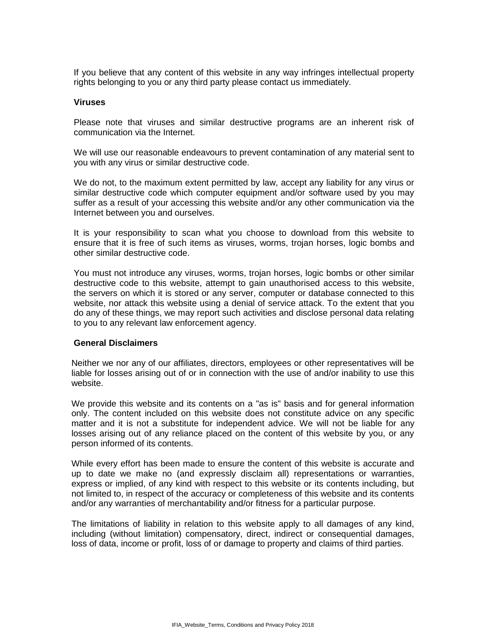If you believe that any content of this website in any way infringes intellectual property rights belonging to you or any third party please contact us immediately.

#### **Viruses**

Please note that viruses and similar destructive programs are an inherent risk of communication via the Internet.

We will use our reasonable endeavours to prevent contamination of any material sent to you with any virus or similar destructive code.

We do not, to the maximum extent permitted by law, accept any liability for any virus or similar destructive code which computer equipment and/or software used by you may suffer as a result of your accessing this website and/or any other communication via the Internet between you and ourselves.

It is your responsibility to scan what you choose to download from this website to ensure that it is free of such items as viruses, worms, trojan horses, logic bombs and other similar destructive code.

You must not introduce any viruses, worms, trojan horses, logic bombs or other similar destructive code to this website, attempt to gain unauthorised access to this website, the servers on which it is stored or any server, computer or database connected to this website, nor attack this website using a denial of service attack. To the extent that you do any of these things, we may report such activities and disclose personal data relating to you to any relevant law enforcement agency.

#### **General Disclaimers**

Neither we nor any of our affiliates, directors, employees or other representatives will be liable for losses arising out of or in connection with the use of and/or inability to use this website.

We provide this website and its contents on a "as is" basis and for general information only. The content included on this website does not constitute advice on any specific matter and it is not a substitute for independent advice. We will not be liable for any losses arising out of any reliance placed on the content of this website by you, or any person informed of its contents.

While every effort has been made to ensure the content of this website is accurate and up to date we make no (and expressly disclaim all) representations or warranties, express or implied, of any kind with respect to this website or its contents including, but not limited to, in respect of the accuracy or completeness of this website and its contents and/or any warranties of merchantability and/or fitness for a particular purpose.

The limitations of liability in relation to this website apply to all damages of any kind, including (without limitation) compensatory, direct, indirect or consequential damages, loss of data, income or profit, loss of or damage to property and claims of third parties.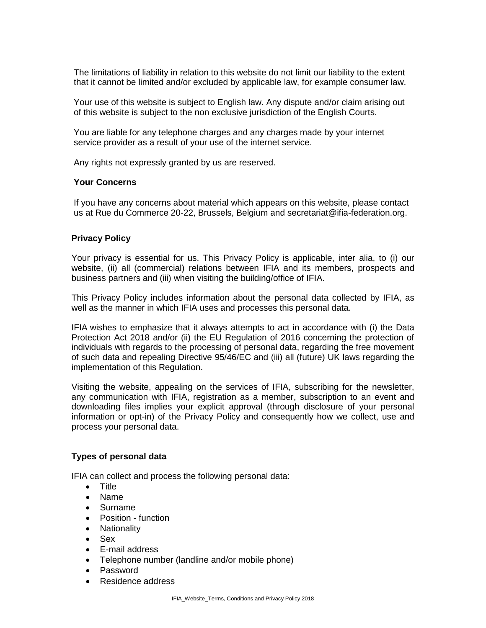The limitations of liability in relation to this website do not limit our liability to the extent that it cannot be limited and/or excluded by applicable law, for example consumer law.

Your use of this website is subject to English law. Any dispute and/or claim arising out of this website is subject to the non exclusive jurisdiction of the English Courts.

You are liable for any telephone charges and any charges made by your internet service provider as a result of your use of the internet service.

Any rights not expressly granted by us are reserved.

### **Your Concerns**

If you have any concerns about material which appears on this website, please contact us at Rue du Commerce 20-22, Brussels, Belgium and secretariat@ifia-federation.org.

### **Privacy Policy**

Your privacy is essential for us. This Privacy Policy is applicable, inter alia, to (i) our website, (ii) all (commercial) relations between IFIA and its members, prospects and business partners and (iii) when visiting the building/office of IFIA.

This Privacy Policy includes information about the personal data collected by IFIA, as well as the manner in which IFIA uses and processes this personal data.

IFIA wishes to emphasize that it always attempts to act in accordance with (i) the Data Protection Act 2018 and/or (ii) the EU Regulation of 2016 concerning the protection of individuals with regards to the processing of personal data, regarding the free movement of such data and repealing Directive 95/46/EC and (iii) all (future) UK laws regarding the implementation of this Regulation.

Visiting the website, appealing on the services of IFIA, subscribing for the newsletter, any communication with IFIA, registration as a member, subscription to an event and downloading files implies your explicit approval (through disclosure of your personal information or opt-in) of the Privacy Policy and consequently how we collect, use and process your personal data.

#### **Types of personal data**

IFIA can collect and process the following personal data:

- Title
- Name
- Surname
- Position function
- Nationality
- Sex
- E-mail address
- Telephone number (landline and/or mobile phone)
- Password
- Residence address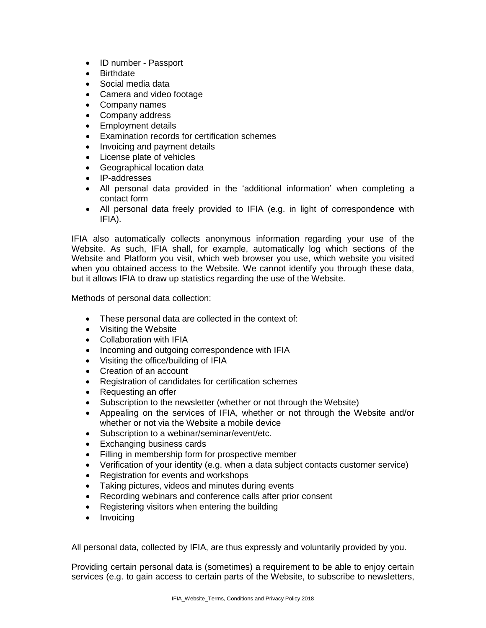- ID number Passport
- Birthdate
- Social media data
- Camera and video footage
- Company names
- Company address
- Employment details
- Examination records for certification schemes
- Invoicing and payment details
- License plate of vehicles
- Geographical location data
- IP-addresses
- All personal data provided in the 'additional information' when completing a contact form
- All personal data freely provided to IFIA (e.g. in light of correspondence with IFIA).

IFIA also automatically collects anonymous information regarding your use of the Website. As such, IFIA shall, for example, automatically log which sections of the Website and Platform you visit, which web browser you use, which website you visited when you obtained access to the Website. We cannot identify you through these data, but it allows IFIA to draw up statistics regarding the use of the Website.

Methods of personal data collection:

- These personal data are collected in the context of:
- Visiting the Website
- Collaboration with IFIA
- Incoming and outgoing correspondence with IFIA
- Visiting the office/building of IFIA
- Creation of an account
- Registration of candidates for certification schemes
- Requesting an offer
- Subscription to the newsletter (whether or not through the Website)
- Appealing on the services of IFIA, whether or not through the Website and/or whether or not via the Website a mobile device
- Subscription to a webinar/seminar/event/etc.
- Exchanging business cards
- Filling in membership form for prospective member
- Verification of your identity (e.g. when a data subject contacts customer service)
- Registration for events and workshops
- Taking pictures, videos and minutes during events
- Recording webinars and conference calls after prior consent
- Registering visitors when entering the building
- Invoicing

All personal data, collected by IFIA, are thus expressly and voluntarily provided by you.

Providing certain personal data is (sometimes) a requirement to be able to enjoy certain services (e.g. to gain access to certain parts of the Website, to subscribe to newsletters,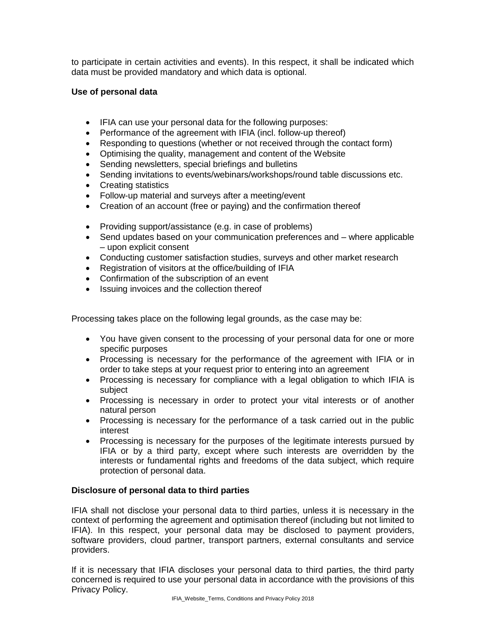to participate in certain activities and events). In this respect, it shall be indicated which data must be provided mandatory and which data is optional.

## **Use of personal data**

- IFIA can use your personal data for the following purposes:
- Performance of the agreement with IFIA (incl. follow-up thereof)
- Responding to questions (whether or not received through the contact form)
- Optimising the quality, management and content of the Website
- Sending newsletters, special briefings and bulletins
- Sending invitations to events/webinars/workshops/round table discussions etc.
- Creating statistics
- Follow-up material and surveys after a meeting/event
- Creation of an account (free or paying) and the confirmation thereof
- Providing support/assistance (e.g. in case of problems)
- Send updates based on your communication preferences and where applicable – upon explicit consent
- Conducting customer satisfaction studies, surveys and other market research
- Registration of visitors at the office/building of IFIA
- Confirmation of the subscription of an event
- Issuing invoices and the collection thereof

Processing takes place on the following legal grounds, as the case may be:

- You have given consent to the processing of your personal data for one or more specific purposes
- Processing is necessary for the performance of the agreement with IFIA or in order to take steps at your request prior to entering into an agreement
- Processing is necessary for compliance with a legal obligation to which IFIA is subject
- Processing is necessary in order to protect your vital interests or of another natural person
- Processing is necessary for the performance of a task carried out in the public interest
- Processing is necessary for the purposes of the legitimate interests pursued by IFIA or by a third party, except where such interests are overridden by the interests or fundamental rights and freedoms of the data subject, which require protection of personal data.

# **Disclosure of personal data to third parties**

IFIA shall not disclose your personal data to third parties, unless it is necessary in the context of performing the agreement and optimisation thereof (including but not limited to IFIA). In this respect, your personal data may be disclosed to payment providers, software providers, cloud partner, transport partners, external consultants and service providers.

If it is necessary that IFIA discloses your personal data to third parties, the third party concerned is required to use your personal data in accordance with the provisions of this Privacy Policy.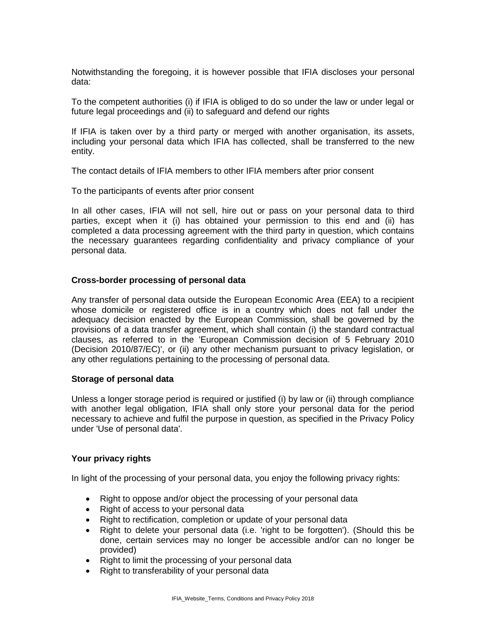Notwithstanding the foregoing, it is however possible that IFIA discloses your personal data:

To the competent authorities (i) if IFIA is obliged to do so under the law or under legal or future legal proceedings and (ii) to safeguard and defend our rights

If IFIA is taken over by a third party or merged with another organisation, its assets, including your personal data which IFIA has collected, shall be transferred to the new entity.

The contact details of IFIA members to other IFIA members after prior consent

To the participants of events after prior consent

In all other cases, IFIA will not sell, hire out or pass on your personal data to third parties, except when it (i) has obtained your permission to this end and (ii) has completed a data processing agreement with the third party in question, which contains the necessary guarantees regarding confidentiality and privacy compliance of your personal data.

### **Cross-border processing of personal data**

Any transfer of personal data outside the European Economic Area (EEA) to a recipient whose domicile or registered office is in a country which does not fall under the adequacy decision enacted by the European Commission, shall be governed by the provisions of a data transfer agreement, which shall contain (i) the standard contractual clauses, as referred to in the 'European Commission decision of 5 February 2010 (Decision 2010/87/EC)', or (ii) any other mechanism pursuant to privacy legislation, or any other regulations pertaining to the processing of personal data.

### **Storage of personal data**

Unless a longer storage period is required or justified (i) by law or (ii) through compliance with another legal obligation, IFIA shall only store your personal data for the period necessary to achieve and fulfil the purpose in question, as specified in the Privacy Policy under 'Use of personal data'.

### **Your privacy rights**

In light of the processing of your personal data, you enjoy the following privacy rights:

- Right to oppose and/or object the processing of your personal data
- Right of access to your personal data
- Right to rectification, completion or update of your personal data
- Right to delete your personal data (i.e. 'right to be forgotten'). (Should this be done, certain services may no longer be accessible and/or can no longer be provided)
- Right to limit the processing of your personal data
- Right to transferability of your personal data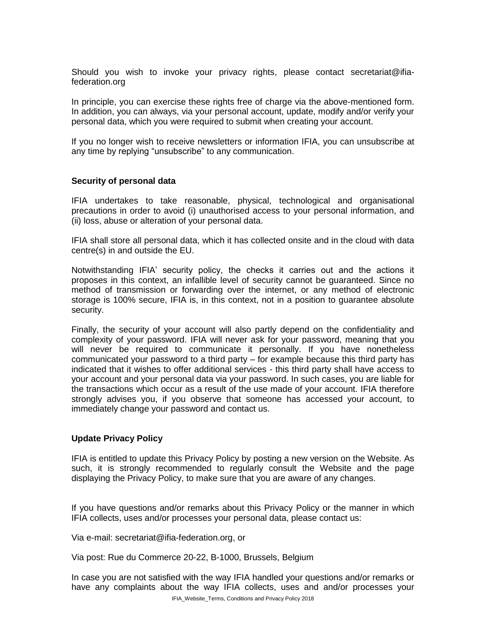Should you wish to invoke your privacy rights, please contact secretariat@ifiafederation.org

In principle, you can exercise these rights free of charge via the above-mentioned form. In addition, you can always, via your personal account, update, modify and/or verify your personal data, which you were required to submit when creating your account.

If you no longer wish to receive newsletters or information IFIA, you can unsubscribe at any time by replying "unsubscribe" to any communication.

### **Security of personal data**

IFIA undertakes to take reasonable, physical, technological and organisational precautions in order to avoid (i) unauthorised access to your personal information, and (ii) loss, abuse or alteration of your personal data.

IFIA shall store all personal data, which it has collected onsite and in the cloud with data centre(s) in and outside the EU.

Notwithstanding IFIA' security policy, the checks it carries out and the actions it proposes in this context, an infallible level of security cannot be guaranteed. Since no method of transmission or forwarding over the internet, or any method of electronic storage is 100% secure, IFIA is, in this context, not in a position to guarantee absolute security.

Finally, the security of your account will also partly depend on the confidentiality and complexity of your password. IFIA will never ask for your password, meaning that you will never be required to communicate it personally. If you have nonetheless communicated your password to a third party – for example because this third party has indicated that it wishes to offer additional services - this third party shall have access to your account and your personal data via your password. In such cases, you are liable for the transactions which occur as a result of the use made of your account. IFIA therefore strongly advises you, if you observe that someone has accessed your account, to immediately change your password and contact us.

### **Update Privacy Policy**

IFIA is entitled to update this Privacy Policy by posting a new version on the Website. As such, it is strongly recommended to regularly consult the Website and the page displaying the Privacy Policy, to make sure that you are aware of any changes.

If you have questions and/or remarks about this Privacy Policy or the manner in which IFIA collects, uses and/or processes your personal data, please contact us:

Via e-mail: secretariat@ifia-federation.org, or

Via post: Rue du Commerce 20-22, B-1000, Brussels, Belgium

In case you are not satisfied with the way IFIA handled your questions and/or remarks or have any complaints about the way IFIA collects, uses and and/or processes your